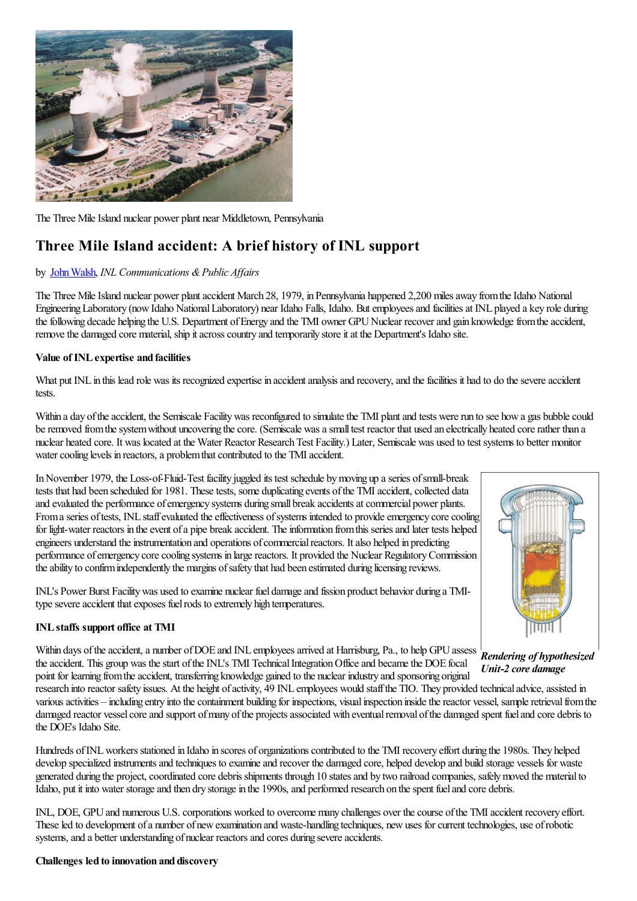

The Three Mile Island nuclear power plant near Middletown, Pennsylvania

# **Three Mile Island accident: A brief history of INL support**

## by JohnWalsh, *INL Communications &Public Af airs*

The Three Mile Island nuclear power plant accident March 28, 1979, in Pennsylvania happened 2,200 miles away from the Idaho National Engineering Laboratory (now Idaho National Laboratory) near Idaho Falls, Idaho. But employees and facilities at INL played a key role during the following decade helping the U.S. Department of Energy and the TMI owner GPU Nuclear recover and gain knowledge from the accident, remove the damaged core material, ship it across country and temporarily store it at the Department's Idaho site.

## **Value of INLexpertise and facilities**

What put INL in this lead role was its recognized expertise in accident analysis and recovery, and the facilities it had to do the severe accident tests.

Within a day of the accident, the Semiscale Facility was reconfigured to simulate the TMI plant and tests were run to see how a gas bubble could be removed from the system without uncovering the core. (Semiscale was a small test reactor that used an electrically heated core rather than a nuclear heated core. It was located at the Water Reactor Research Test Facility.) Later, Semiscale was used to test systems to better monitor water cooling levels in reactors, a problem that contributed to the TMI accident.

In November 1979, the Loss-of-Fluid-Test facility juggled its test schedule by moving up a series of small-break tests that had been scheduled for 1981. These tests, some duplicating events of the TMI accident, collected data and evaluated the performance of emergency systems during small break accidents at commercial power plants. From a series of tests, INL staff evaluated the effectiveness of systems intended to provide emergency core cooling for light-water reactors in the event of a pipe break accident. The information from this series and later tests helped engineers understand the instrumentation and operations of commercial reactors. It also helped in predicting performance ofemergency corecooling systems in largereactors. It provided the Nuclear RegulatoryCommission the ability to confirm independently the margins of safety that had been estimated during licensing reviews.

INL's Power Burst Facilitywas used to examine nuclear fuel damageand fission product behavior during a TMItype severe accident that exposes fuel rods to extremely high temperatures.

## **INLstaffs support office at TMI**



*Rendering of hypothesized Unit-2 core damage*

Within days of the accident, a number of DOE and INL employees arrived at Harrisburg, Pa., to help GPU assess the accident. This group was the start of the INL's TMI Technical Integration Office and became the DOE focal point for learning fromtheaccident, transferring knowledge gained to the nuclear industry and sponsoring original

research into reactor safety issues. At the height of activity, 49 INL employees would staff the TIO. They provided technical advice, assisted in various activities – including entry into the containment building for inspections, visual inspection inside the reactor vessel, sample retrieval from the damaged reactor vessel core and support of many of the projects associated with eventual removal of the damaged spent fuel and core debris to the DOE's Idaho Site.

Hundreds of INL workers stationed in Idaho in scores of organizations contributed to the TMI recovery effort during the 1980s. They helped develop specialized instruments and techniques to examine and recover the damaged core, helped develop and build storage vessels for waste generated during the project, coordinated core debris shipments through 10 states and by two railroad companies, safely moved the material to Idaho, put it into water storage and then dry storage in the 1990s, and performed research on the spent fuel and core debris.

INL, DOE, GPU and numerous U.S. corporations worked to overcome many challenges over the course of the TMI accident recovery effort. These led to development of a number of new examination and waste-handling techniques, new uses for current technologies, use of robotic systems, and a better understanding of nuclear reactors and cores during severe accidents.

#### **Challenges led to innovation and discovery**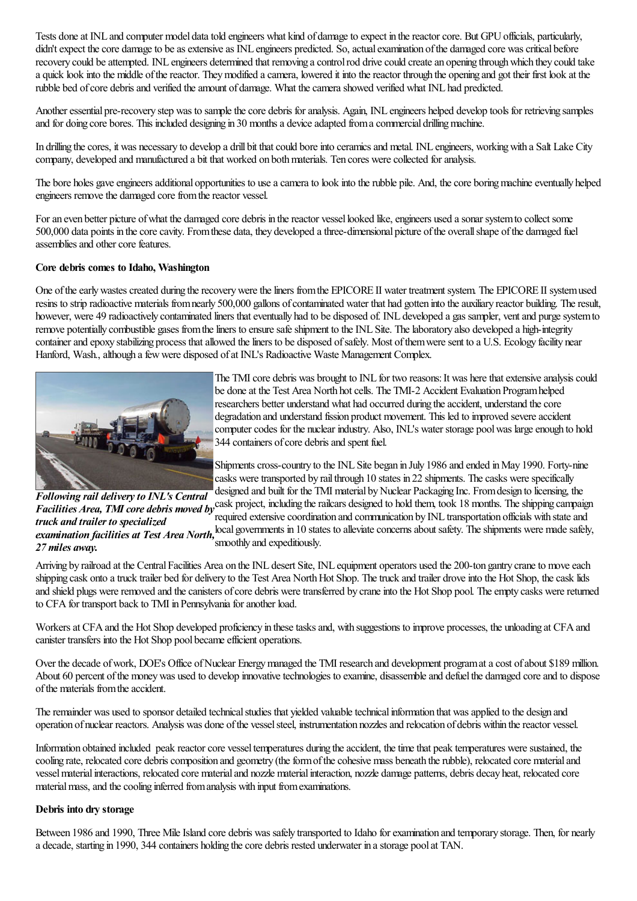Tests done at INL and computer model data told engineers what kind of damage to expect in the reactor core. But GPU officials, particularly, didn't expect the core damage to be as extensive as INL engineers predicted. So, actual examination of the damaged core was critical before recovery could be attempted. INL engineers determined that removing a control rod drive could create an opening through which they could take a quick look into the middle ofthereactor. Theymodified acamera, lowered it into thereactor through the opening and got their first look at the rubble bed of core debris and verified the amount of damage. What the camera showed verified what INL had predicted.

Another essential pre-recovery step was to sample the core debris for analysis. Again, INL engineers helped develop tools for retrieving samples and for doing core bores. This included designing in 30 months a device adapted from a commercial drilling machine.

In drilling the cores, it was necessary to develop a drill bit that could bore into ceramics and metal. INL engineers, working with a Salt Lake City company, developed and manufactured a bit that worked on both materials. Ten cores were collected for analysis.

The bore holes gave engineers additional opportunities to use a camera to look into the rubble pile. And, the core boring machine eventually helped engineers remove the damaged core from the reactor vessel.

For an even better picture of what the damaged core debris in the reactor vessel looked like, engineers used a sonar system to collect some 500,000 data points in thecorecavity. Fromthese data, they developed athree-dimensional picture ofthe overallshape ofthe damaged fuel assemblies and other core features.

#### **Core debris comes to Idaho, Washington**

One of the early wastes created during the recovery were the liners from the EPICORE II water treatment system. The EPICORE II system used resins to strip radioactive materials from nearly 500,000 gallons of contaminated water that had gotten into the auxiliary reactor building. The result, however, were 49 radioactively contaminated liners that eventually had to be disposed of. INL developed a gas sampler, vent and purge system to remove potentially combustible gases from the liners to ensure safe shipment to the INL Site. The laboratory also developed a high-integrity container and epoxy stabilizing process that allowed the liners to be disposed of safely. Most of them were sent to a U.S. Ecology facility near Hanford, Wash., although a few were disposed of at INL's Radioactive Waste Management Complex.



The TMI core debris was brought to INL for two reasons: It was here that extensive analysis could be done at the Test Area North hot cells. The TMI-2 Accident Evaluation Program helped researchers better understand what had occurred during the accident, understand the core degradation and understand fission product movement. This led to improved severe accident computer codes for the nuclear industry. Also, INL's water storage pool was large enough to hold 344 containers of core debris and spent fuel.

Shipments cross-country to the INL Site began in July 1986 and ended in May 1990. Forty-nine casks were transported by rail through 10 states in 22 shipments. The casks were specifically designed and built for the TMI material by Nuclear Packaging Inc. From design to licensing, the

*Following rail deliveryto INL's Central Facilities Area, TMI core debris moved by* easily project, including the railcars designed to hold them, took 18 months. The shipping campaign *Facilities Area, TMI core debris moved by* easily determined a state of the s *truck and trailer to specialized examination facilities at Test Area North,*  $\frac{1}{2}$  local governments in 10 states to alleviate concerns about safety. The shipments were made safely, *27 miles away.* required extensive coordination and communication by INL transportation officials with state and smoothly and expeditiously.

Arriving by railroad at the Central Facilities Area on the INL desert Site, INL equipment operators used the 200-ton gantry crane to move each shipping cask onto a truck trailer bed for delivery to the Test Area North Hot Shop. The truck and trailer drove into the Hot Shop, the cask lids and shield plugs were removed and the canisters of core debris were transferred by crane into the Hot Shop pool. The empty casks were returned to CFA for transport back to TMI in Pennsylvania for another load.

Workers at CFA and the Hot Shop developed proficiency in these tasks and, with suggestions to improve processes, the unloading at CFA and canister transfers into the Hot Shop pool became efficient operations.

Over the decade of work, DOE's Office of Nuclear Energy managed the TMI research and development program at a cost of about \$189 million. About 60 percent of the money was used to develop innovative technologies to examine, disassemble and defuel the damaged core and to dispose ofthe materials fromtheaccident.

The remainder was used to sponsor detailed technical studies that yielded valuable technical information that was applied to the design and operation of nuclear reactors. Analysis was done ofthe vesselsteel, instrumentation nozzlesand relocation of debris within thereactor vessel.

Information obtained included peak reactor core vessel temperatures during the accident, the time that peak temperatures were sustained, the cooling rate, relocated core debris composition and geometry (the form of the cohesive mass beneath the rubble), relocated core material and vesselmaterialinteractions, relocated core materialand nozzle materialinteraction, nozzle damage patterns, debris decay heat, relocated core material mass, and the cooling inferred from analysis with input from examinations.

## **Debris into dry storage**

Between 1986 and 1990, Three Mile Island core debris was safely transported to Idaho for examination and temporary storage. Then, for nearly a decade, starting in 1990, 344 containers holding the core debris rested underwater in a storage pool at TAN.